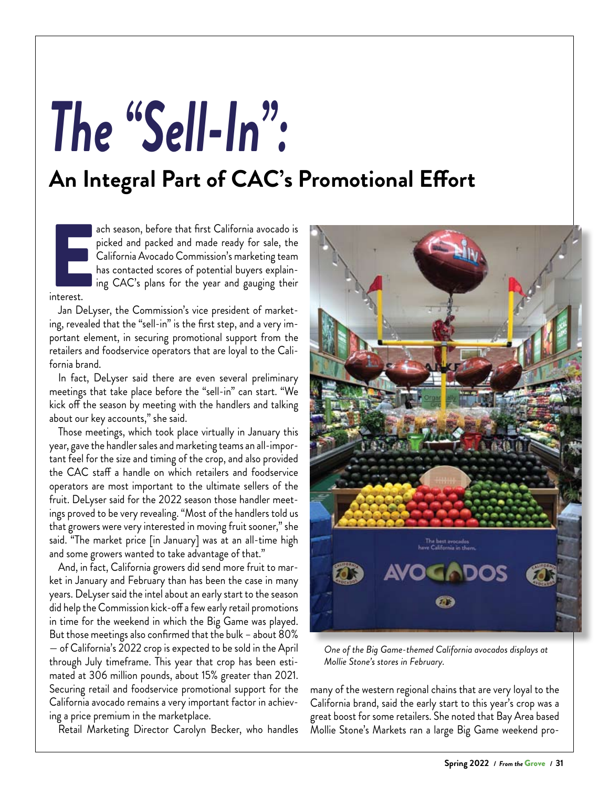## *The "Sell-In":*

## **An Integral Part of CAC's Promotional Effort**

External de la proposa de la proposa de la proposa de la proposa de la proposa de la proposa de la proposa de<br>En 1980, en 1980, en 1980, en 1980, en 1980, en 1980, en 1980, en 1980, en 1980, en 1980, en 1980, en 1980, en ach season, before that first California avocado is picked and packed and made ready for sale, the California Avocado Commission's marketing team has contacted scores of potential buyers explaining CAC's plans for the year and gauging their

interest.

Jan DeLyser, the Commission's vice president of marketing, revealed that the "sell-in" is the first step, and a very important element, in securing promotional support from the retailers and foodservice operators that are loyal to the California brand.

In fact, DeLyser said there are even several preliminary meetings that take place before the "sell-in" can start. "We kick off the season by meeting with the handlers and talking about our key accounts," she said.

Those meetings, which took place virtually in January this year, gave the handler sales and marketing teams an all-important feel for the size and timing of the crop, and also provided the CAC staff a handle on which retailers and foodservice operators are most important to the ultimate sellers of the fruit. DeLyser said for the 2022 season those handler meetings proved to be very revealing. "Most of the handlers told us that growers were very interested in moving fruit sooner," she said. "The market price [in January] was at an all-time high and some growers wanted to take advantage of that."

And, in fact, California growers did send more fruit to market in January and February than has been the case in many years. DeLyser said the intel about an early start to the season did help the Commission kick-off a few early retail promotions in time for the weekend in which the Big Game was played. But those meetings also confirmed that the bulk – about 80% — of California's 2022 crop is expected to be sold in the April through July timeframe. This year that crop has been estimated at 306 million pounds, about 15% greater than 2021. Securing retail and foodservice promotional support for the California avocado remains a very important factor in achieving a price premium in the marketplace.

Retail Marketing Director Carolyn Becker, who handles



*One of the Big Game-themed California avocados displays at Mollie Stone's stores in February.*

many of the western regional chains that are very loyal to the California brand, said the early start to this year's crop was a great boost for some retailers. She noted that Bay Area based Mollie Stone's Markets ran a large Big Game weekend pro-